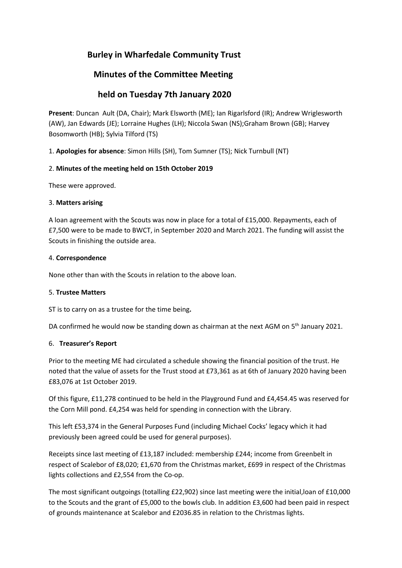# **Burley in Wharfedale Community Trust**

# **Minutes of the Committee Meeting**

# **held on Tuesday 7th January 2020**

**Present**: Duncan Ault (DA, Chair); Mark Elsworth (ME); Ian Rigarlsford (IR); Andrew Wriglesworth (AW), Jan Edwards (JE); Lorraine Hughes (LH); Niccola Swan (NS);Graham Brown (GB); Harvey Bosomworth (HB); Sylvia Tilford (TS)

1. **Apologies for absence**: Simon Hills (SH), Tom Sumner (TS); Nick Turnbull (NT)

# 2. **Minutes of the meeting held on 15th October 2019**

These were approved.

## 3. **Matters arising**

A loan agreement with the Scouts was now in place for a total of £15,000. Repayments, each of £7,500 were to be made to BWCT, in September 2020 and March 2021. The funding will assist the Scouts in finishing the outside area.

## 4. **Correspondence**

None other than with the Scouts in relation to the above loan.

#### 5. **Trustee Matters**

ST is to carry on as a trustee for the time being**.**

DA confirmed he would now be standing down as chairman at the next AGM on 5<sup>th</sup> January 2021.

# 6. **Treasurer's Report**

Prior to the meeting ME had circulated a schedule showing the financial position of the trust. He noted that the value of assets for the Trust stood at £73,361 as at 6th of January 2020 having been £83,076 at 1st October 2019.

Of this figure, £11,278 continued to be held in the Playground Fund and £4,454.45 was reserved for the Corn Mill pond. £4,254 was held for spending in connection with the Library.

This left £53,374 in the General Purposes Fund (including Michael Cocks' legacy which it had previously been agreed could be used for general purposes).

Receipts since last meeting of £13,187 included: membership £244; income from Greenbelt in respect of Scalebor of £8,020; £1,670 from the Christmas market, £699 in respect of the Christmas lights collections and £2,554 from the Co-op.

The most significant outgoings (totalling £22,902) since last meeting were the initial,loan of £10,000 to the Scouts and the grant of £5,000 to the bowls club. In addition £3,600 had been paid in respect of grounds maintenance at Scalebor and £2036.85 in relation to the Christmas lights.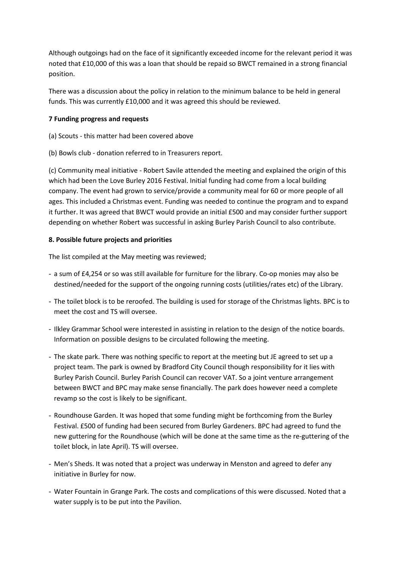Although outgoings had on the face of it significantly exceeded income for the relevant period it was noted that £10,000 of this was a loan that should be repaid so BWCT remained in a strong financial position.

There was a discussion about the policy in relation to the minimum balance to be held in general funds. This was currently £10,000 and it was agreed this should be reviewed.

## **7 Funding progress and requests**

- (a) Scouts this matter had been covered above
- (b) Bowls club donation referred to in Treasurers report.

(c) Community meal initiative - Robert Savile attended the meeting and explained the origin of this which had been the Love Burley 2016 Festival. Initial funding had come from a local building company. The event had grown to service/provide a community meal for 60 or more people of all ages. This included a Christmas event. Funding was needed to continue the program and to expand it further. It was agreed that BWCT would provide an initial £500 and may consider further support depending on whether Robert was successful in asking Burley Parish Council to also contribute.

## **8. Possible future projects and priorities**

The list compiled at the May meeting was reviewed;

- a sum of £4,254 or so was still available for furniture for the library. Co-op monies may also be destined/needed for the support of the ongoing running costs (utilities/rates etc) of the Library.
- The toilet block is to be reroofed. The building is used for storage of the Christmas lights. BPC is to meet the cost and TS will oversee.
- Ilkley Grammar School were interested in assisting in relation to the design of the notice boards. Information on possible designs to be circulated following the meeting.
- The skate park. There was nothing specific to report at the meeting but JE agreed to set up a project team. The park is owned by Bradford City Council though responsibility for it lies with Burley Parish Council. Burley Parish Council can recover VAT. So a joint venture arrangement between BWCT and BPC may make sense financially. The park does however need a complete revamp so the cost is likely to be significant.
- Roundhouse Garden. It was hoped that some funding might be forthcoming from the Burley Festival. £500 of funding had been secured from Burley Gardeners. BPC had agreed to fund the new guttering for the Roundhouse (which will be done at the same time as the re-guttering of the toilet block, in late April). TS will oversee.
- Men's Sheds. It was noted that a project was underway in Menston and agreed to defer any initiative in Burley for now.
- Water Fountain in Grange Park. The costs and complications of this were discussed. Noted that a water supply is to be put into the Pavilion.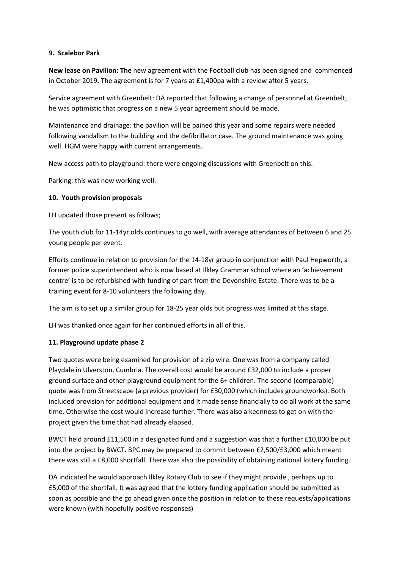#### **9. Scalebor Park**

**New lease on Pavilion: The** new agreement with the Football club has been signed and commenced in October 2019. The agreement is for 7 years at £1,400pa with a review after 5 years.

Service agreement with Greenbelt: DA reported that following a change of personnel at Greenbelt, he was optimistic that progress on a new 5 year agreement should be made.

Maintenance and drainage: the pavilion will be pained this year and some repairs were needed following vandalism to the building and the defibrillator case. The ground maintenance was going well. HGM were happy with current arrangements.

New access path to playground: there were ongoing discussions with Greenbelt on this.

Parking: this was now working well.

## **10. Youth provision proposals**

LH updated those present as follows;

The youth club for 11-14yr olds continues to go well, with average attendances of between 6 and 25 young people per event.

Efforts continue in relation to provision for the 14-18yr group in conjunction with Paul Hepworth, a former police superintendent who is now based at Ilkley Grammar school where an 'achievement centre' is to be refurbished with funding of part from the Devonshire Estate. There was to be a training event for 8-10 volunteers the following day.

The aim is to set up a similar group for 18-25 year olds but progress was limited at this stage.

LH was thanked once again for her continued efforts in all of this.

# **11. Playground update phase 2**

Two quotes were being examined for provision of a zip wire. One was from a company called Playdale in Ulverston, Cumbria. The overall cost would be around £32,000 to include a proper ground surface and other playground equipment for the 6+ children. The second (comparable) quote was from Streetscape (a previous provider) for £30,000 (which includes groundworks). Both included provision for additional equipment and it made sense financially to do all work at the same time. Otherwise the cost would increase further. There was also a keenness to get on with the project given the time that had already elapsed.

BWCT held around £11,500 in a designated fund and a suggestion was that a further £10,000 be put into the project by BWCT. BPC may be prepared to commit between £2,500/£3,000 which meant there was still a £8,000 shortfall. There was also the possibility of obtaining national lottery funding.

DA indicated he would approach Ilkley Rotary Club to see if they might provide , perhaps up to £5,000 of the shortfall. It was agreed that the lottery funding application should be submitted as soon as possible and the go ahead given once the position in relation to these requests/applications were known (with hopefully positive responses)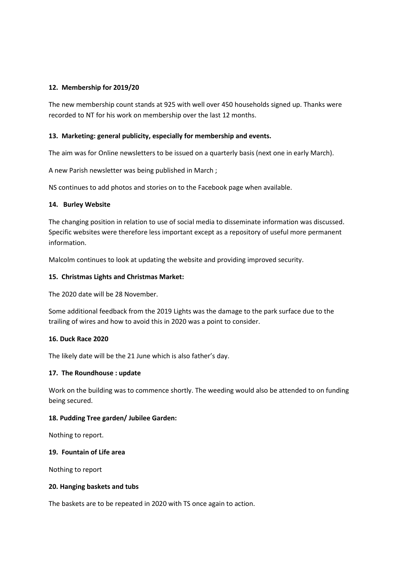# **12. Membership for 2019/20**

The new membership count stands at 925 with well over 450 households signed up. Thanks were recorded to NT for his work on membership over the last 12 months.

#### **13. Marketing: general publicity, especially for membership and events.**

The aim was for Online newsletters to be issued on a quarterly basis (next one in early March).

A new Parish newsletter was being published in March ;

NS continues to add photos and stories on to the Facebook page when available.

## **14. Burley Website**

The changing position in relation to use of social media to disseminate information was discussed. Specific websites were therefore less important except as a repository of useful more permanent information.

Malcolm continues to look at updating the website and providing improved security.

## **15. Christmas Lights and Christmas Market:**

The 2020 date will be 28 November.

Some additional feedback from the 2019 Lights was the damage to the park surface due to the trailing of wires and how to avoid this in 2020 was a point to consider.

#### **16. Duck Race 2020**

The likely date will be the 21 June which is also father's day.

# **17. The Roundhouse : update**

Work on the building was to commence shortly. The weeding would also be attended to on funding being secured.

#### **18. Pudding Tree garden/ Jubilee Garden:**

Nothing to report.

#### **19. Fountain of Life area**

Nothing to report

#### **20. Hanging baskets and tubs**

The baskets are to be repeated in 2020 with TS once again to action.